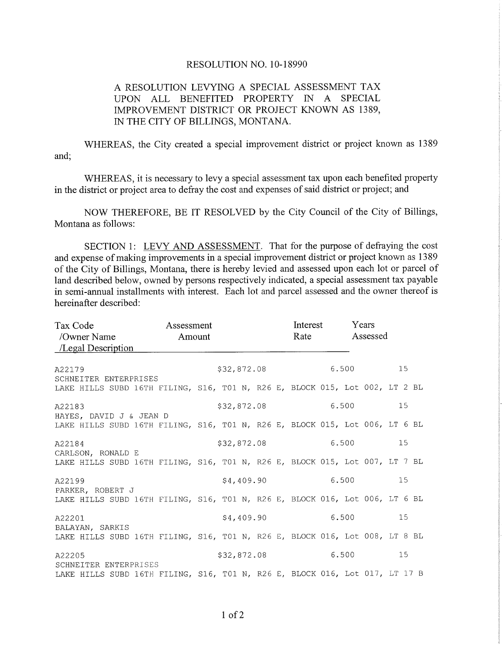## RESOLUTION NO. 10-18990

## A RESOLUTION LEVYING A SPECIAL ASSESSMENT TAX UPON ALL BENEFITED PROPERTY IN A SPECIAL IMPROVEMENT DISTRICT OR PROJECT KNOWN AS 1389. IN THE CITY OF BILLINGS, MONTANA.

WHEREAS, the City created a special improvement district or project known as 1389 and;

WHEREAS, it is necessary to levy a special assessment tax upon each benefited property in the district or project area to defray the cost and expenses of said district or project; and

NOW THEREFORE, BE IT RESOLVED by the City Council of the City of Billings, Montana as follows:

SECTION 1: LEVY AND ASSESSMENT. That for the purpose of defraying the cost and expense of making improvements in a special improvement district or project known as 1389 of the City of Billings, Montana, there is hereby levied and assessed upon each lot or parcel of land described below, owned by persons respectively indicated, a special assessment tax payable in semi-annual installments with interest. Each lot and parcel assessed and the owner thereof is hereinafter described:

| Tax Code<br>/Owner Name Amount<br>/Legal Description                                                 | Assessment  |             |  |  |       | Interest<br>Rate |       |  | Years<br>Assessed |    |    |  |
|------------------------------------------------------------------------------------------------------|-------------|-------------|--|--|-------|------------------|-------|--|-------------------|----|----|--|
| A22179                                                                                               |             | \$32,872.08 |  |  |       |                  | 6.500 |  |                   |    | 15 |  |
| SCHNEITER ENTERPRISES<br>LAKE HILLS SUBD 16TH FILING, S16, TO1 N, R26 E, BLOCK 015, Lot 002, LT 2 BL |             |             |  |  |       |                  |       |  |                   |    |    |  |
| A22183<br>HAYES, DAVID J & JEAN D                                                                    | \$32,872.08 |             |  |  |       | 15               |       |  |                   |    |    |  |
| LAKE HILLS SUBD 16TH FILING, S16, T01 N, R26 E, BLOCK 015, Lot 006, LT 6 BL                          |             |             |  |  |       |                  |       |  |                   |    |    |  |
| A22184                                                                                               |             | \$32,872.08 |  |  |       | 6.500            |       |  |                   | 15 |    |  |
| CARLSON, RONALD E<br>LAKE HILLS SUBD 16TH FILING, S16, T01 N, R26 E, BLOCK 015, Lot 007, LT 7 BL     |             |             |  |  |       |                  |       |  |                   |    |    |  |
| A22199                                                                                               | \$4,409.90  |             |  |  | 6.500 |                  |       |  | 15                |    |    |  |
| PARKER, ROBERT J<br>LAKE HILLS SUBD 16TH FILING, S16, T01 N, R26 E, BLOCK 016, Lot 006, LT 6 BL      |             |             |  |  |       |                  |       |  |                   |    |    |  |
| A22201                                                                                               | \$4,409.90  |             |  |  | 6.500 |                  |       |  | 15 <sub>1</sub>   |    |    |  |
| BALAYAN, SARKIS<br>LAKE HILLS SUBD 16TH FILING, S16, T01 N, R26 E, BLOCK 016, Lot 008, LT 8 BL       |             |             |  |  |       |                  |       |  |                   |    |    |  |
| A22205                                                                                               |             | \$32,872.08 |  |  |       | 6.500            |       |  | 15                |    |    |  |
| SCHNEITER ENTERPRISES<br>LAKE HILLS SUBD 16TH FILING, S16, T01 N, R26 E, BLOCK 016, Lot 017, LT 17 B |             |             |  |  |       |                  |       |  |                   |    |    |  |